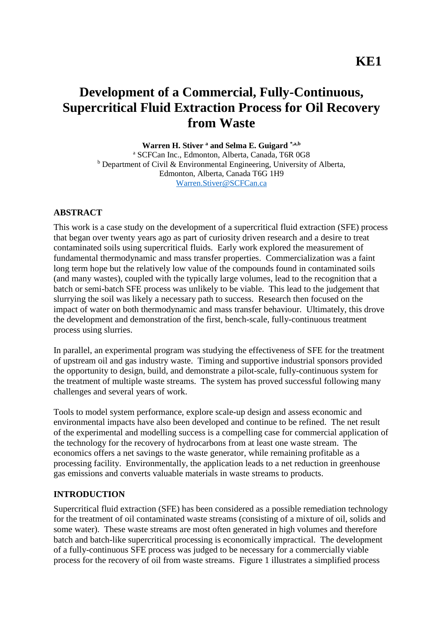# **Development of a Commercial, Fully-Continuous, Supercritical Fluid Extraction Process for Oil Recovery from Waste**

**Warren H. Stiver <sup>a</sup> and Selma E. Guigard \*,a,b**

<sup>a</sup> SCFCan Inc., Edmonton, Alberta, Canada, T6R 0G8  $b$  Department of Civil & Environmental Engineering, University of Alberta, Edmonton, Alberta, Canada T6G 1H9 [Warren.Stiver@SCFCan.ca](mailto:Warren.Stiver@SCFCan.ca)

#### **ABSTRACT**

This work is a case study on the development of a supercritical fluid extraction (SFE) process that began over twenty years ago as part of curiosity driven research and a desire to treat contaminated soils using supercritical fluids. Early work explored the measurement of fundamental thermodynamic and mass transfer properties. Commercialization was a faint long term hope but the relatively low value of the compounds found in contaminated soils (and many wastes), coupled with the typically large volumes, lead to the recognition that a batch or semi-batch SFE process was unlikely to be viable. This lead to the judgement that slurrying the soil was likely a necessary path to success. Research then focused on the impact of water on both thermodynamic and mass transfer behaviour. Ultimately, this drove the development and demonstration of the first, bench-scale, fully-continuous treatment process using slurries.

In parallel, an experimental program was studying the effectiveness of SFE for the treatment of upstream oil and gas industry waste. Timing and supportive industrial sponsors provided the opportunity to design, build, and demonstrate a pilot-scale, fully-continuous system for the treatment of multiple waste streams. The system has proved successful following many challenges and several years of work.

Tools to model system performance, explore scale-up design and assess economic and environmental impacts have also been developed and continue to be refined. The net result of the experimental and modelling success is a compelling case for commercial application of the technology for the recovery of hydrocarbons from at least one waste stream. The economics offers a net savings to the waste generator, while remaining profitable as a processing facility. Environmentally, the application leads to a net reduction in greenhouse gas emissions and converts valuable materials in waste streams to products.

#### **INTRODUCTION**

Supercritical fluid extraction (SFE) has been considered as a possible remediation technology for the treatment of oil contaminated waste streams (consisting of a mixture of oil, solids and some water). These waste streams are most often generated in high volumes and therefore batch and batch-like supercritical processing is economically impractical. The development of a fully-continuous SFE process was judged to be necessary for a commercially viable process for the recovery of oil from waste streams. Figure 1 illustrates a simplified process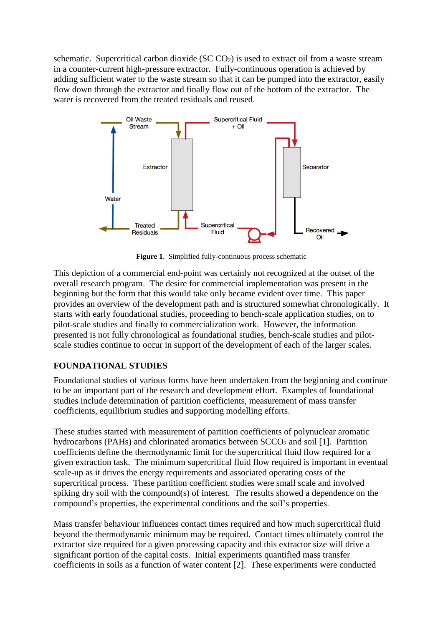schematic. Supercritical carbon dioxide ( $SC CO<sub>2</sub>$ ) is used to extract oil from a waste stream in a counter-current high-pressure extractor. Fully-continuous operation is achieved by adding sufficient water to the waste stream so that it can be pumped into the extractor, easily flow down through the extractor and finally flow out of the bottom of the extractor. The water is recovered from the treated residuals and reused.



**Figure 1**. Simplified fully-continuous process schematic

This depiction of a commercial end-point was certainly not recognized at the outset of the overall research program. The desire for commercial implementation was present in the beginning but the form that this would take only became evident over time. This paper provides an overview of the development path and is structured somewhat chronologically. It starts with early foundational studies, proceeding to bench-scale application studies, on to pilot-scale studies and finally to commercialization work. However, the information presented is not fully chronological as foundational studies, bench-scale studies and pilotscale studies continue to occur in support of the development of each of the larger scales.

# **FOUNDATIONAL STUDIES**

Foundational studies of various forms have been undertaken from the beginning and continue to be an important part of the research and development effort. Examples of foundational studies include determination of partition coefficients, measurement of mass transfer coefficients, equilibrium studies and supporting modelling efforts.

These studies started with measurement of partition coefficients of polynuclear aromatic hydrocarbons (PAHs) and chlorinated aromatics between  $SCCO<sub>2</sub>$  and soil [1]. Partition coefficients define the thermodynamic limit for the supercritical fluid flow required for a given extraction task. The minimum supercritical fluid flow required is important in eventual scale-up as it drives the energy requirements and associated operating costs of the supercritical process. These partition coefficient studies were small scale and involved spiking dry soil with the compound(s) of interest. The results showed a dependence on the compound's properties, the experimental conditions and the soil's properties.

Mass transfer behaviour influences contact times required and how much supercritical fluid beyond the thermodynamic minimum may be required. Contact times ultimately control the extractor size required for a given processing capacity and this extractor size will drive a significant portion of the capital costs. Initial experiments quantified mass transfer coefficients in soils as a function of water content [2]. These experiments were conducted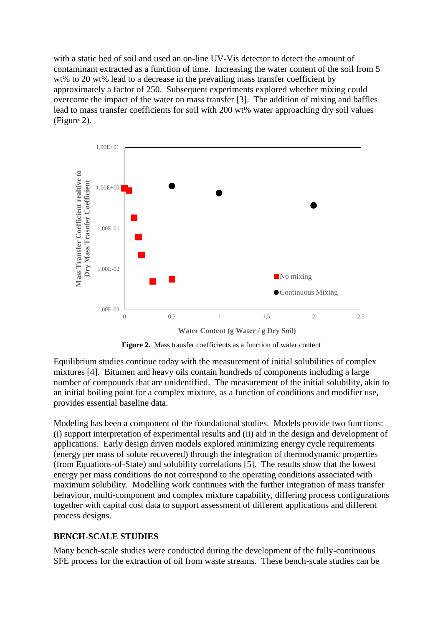with a static bed of soil and used an on-line UV-Vis detector to detect the amount of contaminant extracted as a function of time. Increasing the water content of the soil from 5 wt% to 20 wt% lead to a decrease in the prevailing mass transfer coefficient by approximately a factor of 250. Subsequent experiments explored whether mixing could overcome the impact of the water on mass transfer [3]. The addition of mixing and baffles lead to mass transfer coefficients for soil with 200 wt% water approaching dry soil values (Figure 2).



Figure 2. Mass transfer coefficients as a function of water content

Equilibrium studies continue today with the measurement of initial solubilities of complex mixtures [4]. Bitumen and heavy oils contain hundreds of components including a large number of compounds that are unidentified. The measurement of the initial solubility, akin to an initial boiling point for a complex mixture, as a function of conditions and modifier use, provides essential baseline data.

Modeling has been a component of the foundational studies. Models provide two functions: (i) support interpretation of experimental results and (ii) aid in the design and development of applications. Early design driven models explored minimizing energy cycle requirements (energy per mass of solute recovered) through the integration of thermodynamic properties (from Equations-of-State) and solubility correlations [5]. The results show that the lowest energy per mass conditions do not correspond to the operating conditions associated with maximum solubility. Modelling work continues with the further integration of mass transfer behaviour, multi-component and complex mixture capability, differing process configurations together with capital cost data to support assessment of different applications and different process designs.

### **BENCH-SCALE STUDIES**

Many bench-scale studies were conducted during the development of the fully-continuous SFE process for the extraction of oil from waste streams. These bench-scale studies can be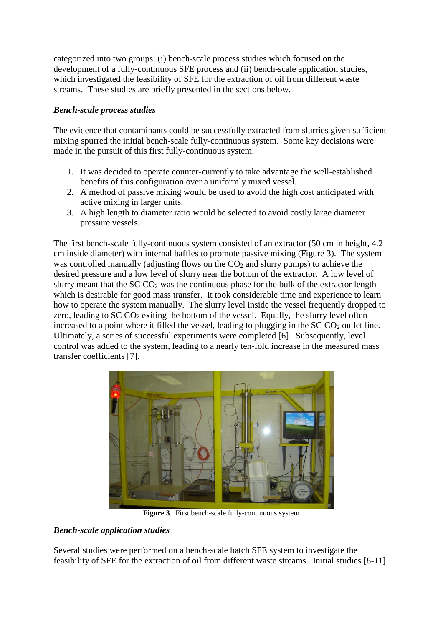categorized into two groups: (i) bench-scale process studies which focused on the development of a fully-continuous SFE process and (ii) bench-scale application studies, which investigated the feasibility of SFE for the extraction of oil from different waste streams. These studies are briefly presented in the sections below.

## *Bench-scale process studies*

The evidence that contaminants could be successfully extracted from slurries given sufficient mixing spurred the initial bench-scale fully-continuous system. Some key decisions were made in the pursuit of this first fully-continuous system:

- 1. It was decided to operate counter-currently to take advantage the well-established benefits of this configuration over a uniformly mixed vessel.
- 2. A method of passive mixing would be used to avoid the high cost anticipated with active mixing in larger units.
- 3. A high length to diameter ratio would be selected to avoid costly large diameter pressure vessels.

The first bench-scale fully-continuous system consisted of an extractor (50 cm in height, 4.2 cm inside diameter) with internal baffles to promote passive mixing (Figure 3). The system was controlled manually (adjusting flows on the  $CO<sub>2</sub>$  and slurry pumps) to achieve the desired pressure and a low level of slurry near the bottom of the extractor. A low level of slurry meant that the  $SCCO<sub>2</sub>$  was the continuous phase for the bulk of the extractor length which is desirable for good mass transfer. It took considerable time and experience to learn how to operate the system manually. The slurry level inside the vessel frequently dropped to zero, leading to  $SCCO<sub>2</sub>$  exiting the bottom of the vessel. Equally, the slurry level often increased to a point where it filled the vessel, leading to plugging in the  $SCCO<sub>2</sub>$  outlet line. Ultimately, a series of successful experiments were completed [6]. Subsequently, level control was added to the system, leading to a nearly ten-fold increase in the measured mass transfer coefficients [7].



**Figure 3**. First bench-scale fully-continuous system

# *Bench-scale application studies*

Several studies were performed on a bench-scale batch SFE system to investigate the feasibility of SFE for the extraction of oil from different waste streams. Initial studies [8-11]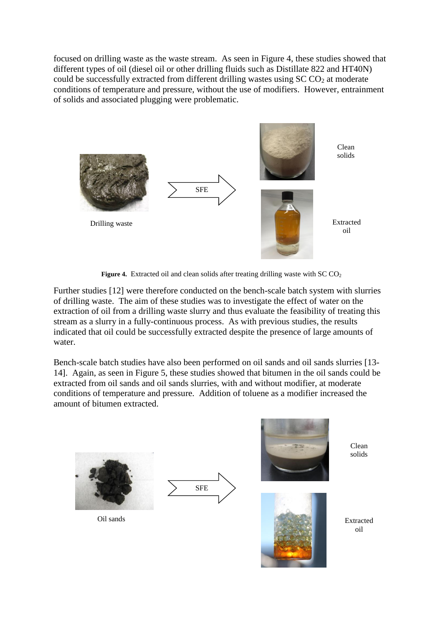focused on drilling waste as the waste stream. As seen in [Figure 4,](#page-4-0) these studies showed that different types of oil (diesel oil or other drilling fluids such as Distillate 822 and HT40N) could be successfully extracted from different drilling wastes using  $SCCO<sub>2</sub>$  at moderate conditions of temperature and pressure, without the use of modifiers. However, entrainment of solids and associated plugging were problematic.



Figure 4. Extracted oil and clean solids after treating drilling waste with SC CO<sub>2</sub>

<span id="page-4-0"></span>Further studies [12] were therefore conducted on the bench-scale batch system with slurries of drilling waste. The aim of these studies was to investigate the effect of water on the extraction of oil from a drilling waste slurry and thus evaluate the feasibility of treating this stream as a slurry in a fully-continuous process. As with previous studies, the results indicated that oil could be successfully extracted despite the presence of large amounts of water.

Bench-scale batch studies have also been performed on oil sands and oil sands slurries [13- 14]. Again, as seen in [Figure 5,](#page-5-0) these studies showed that bitumen in the oil sands could be extracted from oil sands and oil sands slurries, with and without modifier, at moderate conditions of temperature and pressure. Addition of toluene as a modifier increased the amount of bitumen extracted.

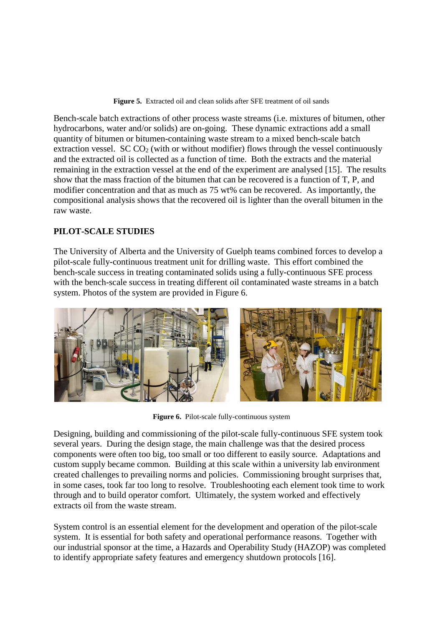**Figure 5.** Extracted oil and clean solids after SFE treatment of oil sands

<span id="page-5-0"></span>Bench-scale batch extractions of other process waste streams (i.e. mixtures of bitumen, other hydrocarbons, water and/or solids) are on-going. These dynamic extractions add a small quantity of bitumen or bitumen-containing waste stream to a mixed bench-scale batch extraction vessel.  $SCCO<sub>2</sub>$  (with or without modifier) flows through the vessel continuously and the extracted oil is collected as a function of time. Both the extracts and the material remaining in the extraction vessel at the end of the experiment are analysed [15]. The results show that the mass fraction of the bitumen that can be recovered is a function of T, P, and modifier concentration and that as much as 75 wt% can be recovered. As importantly, the compositional analysis shows that the recovered oil is lighter than the overall bitumen in the raw waste.

## **PILOT-SCALE STUDIES**

The University of Alberta and the University of Guelph teams combined forces to develop a pilot-scale fully-continuous treatment unit for drilling waste. This effort combined the bench-scale success in treating contaminated solids using a fully-continuous SFE process with the bench-scale success in treating different oil contaminated waste streams in a batch system. Photos of the system are provided in Figure 6.



**Figure 6.** Pilot-scale fully-continuous system

Designing, building and commissioning of the pilot-scale fully-continuous SFE system took several years. During the design stage, the main challenge was that the desired process components were often too big, too small or too different to easily source. Adaptations and custom supply became common. Building at this scale within a university lab environment created challenges to prevailing norms and policies. Commissioning brought surprises that, in some cases, took far too long to resolve. Troubleshooting each element took time to work through and to build operator comfort. Ultimately, the system worked and effectively extracts oil from the waste stream.

System control is an essential element for the development and operation of the pilot-scale system. It is essential for both safety and operational performance reasons. Together with our industrial sponsor at the time, a Hazards and Operability Study (HAZOP) was completed to identify appropriate safety features and emergency shutdown protocols [16].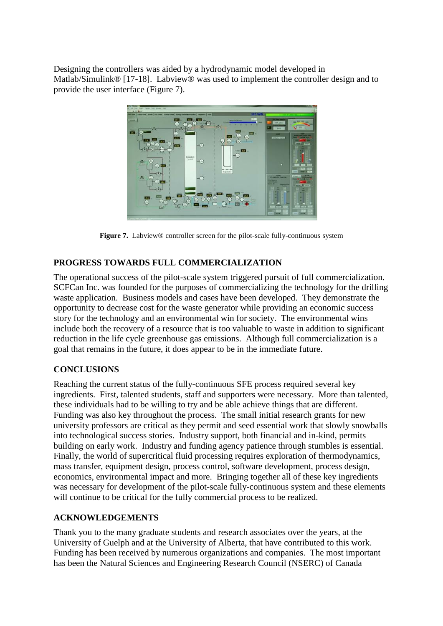Designing the controllers was aided by a hydrodynamic model developed in Matlab/Simulink<sup>®</sup> [17-18]. Labview<sup>®</sup> was used to implement the controller design and to provide the user interface (Figure 7).



**Figure 7.** Labview® controller screen for the pilot-scale fully-continuous system

### **PROGRESS TOWARDS FULL COMMERCIALIZATION**

The operational success of the pilot-scale system triggered pursuit of full commercialization. SCFCan Inc. was founded for the purposes of commercializing the technology for the drilling waste application. Business models and cases have been developed. They demonstrate the opportunity to decrease cost for the waste generator while providing an economic success story for the technology and an environmental win for society. The environmental wins include both the recovery of a resource that is too valuable to waste in addition to significant reduction in the life cycle greenhouse gas emissions. Although full commercialization is a goal that remains in the future, it does appear to be in the immediate future.

#### **CONCLUSIONS**

Reaching the current status of the fully-continuous SFE process required several key ingredients. First, talented students, staff and supporters were necessary. More than talented, these individuals had to be willing to try and be able achieve things that are different. Funding was also key throughout the process. The small initial research grants for new university professors are critical as they permit and seed essential work that slowly snowballs into technological success stories. Industry support, both financial and in-kind, permits building on early work. Industry and funding agency patience through stumbles is essential. Finally, the world of supercritical fluid processing requires exploration of thermodynamics, mass transfer, equipment design, process control, software development, process design, economics, environmental impact and more. Bringing together all of these key ingredients was necessary for development of the pilot-scale fully-continuous system and these elements will continue to be critical for the fully commercial process to be realized.

### **ACKNOWLEDGEMENTS**

Thank you to the many graduate students and research associates over the years, at the University of Guelph and at the University of Alberta, that have contributed to this work. Funding has been received by numerous organizations and companies. The most important has been the Natural Sciences and Engineering Research Council (NSERC) of Canada